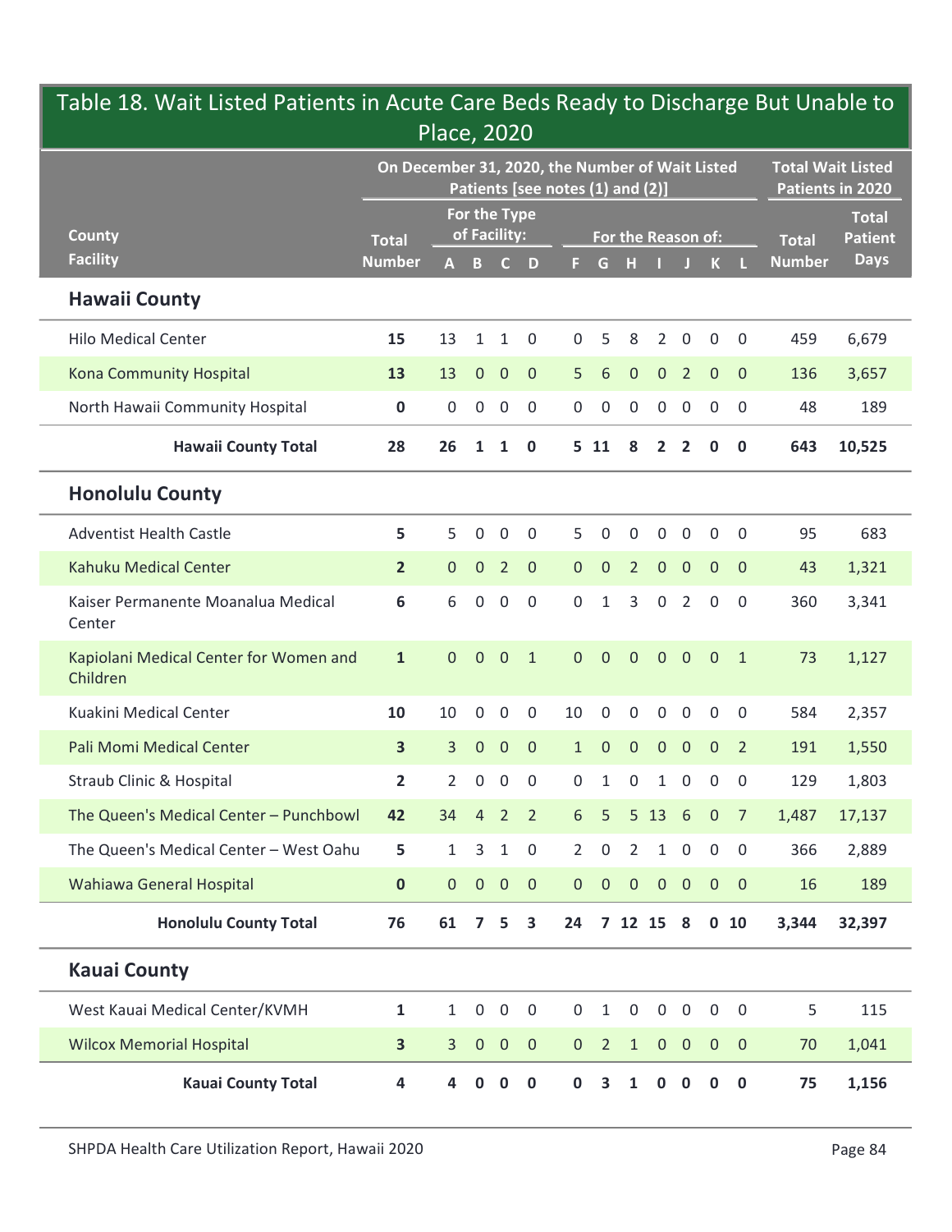|                                                    | On December 31, 2020, the Number of Wait Listed | Place, 2020    |                              |                |                    |                                  |                |                    |                |                     |                |                | <b>Total Wait Listed</b> |                                |
|----------------------------------------------------|-------------------------------------------------|----------------|------------------------------|----------------|--------------------|----------------------------------|----------------|--------------------|----------------|---------------------|----------------|----------------|--------------------------|--------------------------------|
|                                                    |                                                 |                |                              |                |                    | Patients [see notes (1) and (2)] |                |                    |                |                     |                |                |                          | Patients in 2020               |
| <b>County</b>                                      | <b>Total</b>                                    |                | For the Type<br>of Facility: |                |                    |                                  |                | For the Reason of: |                |                     |                |                | <b>Total</b>             | <b>Total</b><br><b>Patient</b> |
| <b>Facility</b>                                    | <b>Number</b>                                   |                | $A$ $B$                      |                | $C$ D              |                                  | G.             | н                  |                |                     | $\mathbf{K}$   |                | <b>Number</b>            | <b>Days</b>                    |
| <b>Hawaii County</b>                               |                                                 |                |                              |                |                    |                                  |                |                    |                |                     |                |                |                          |                                |
| <b>Hilo Medical Center</b>                         | 15                                              | 13             | $\mathbf{1}$                 | $\mathbf{1}$   | 0                  | 0                                |                | 8                  | 2              | 0                   | $\mathbf 0$    | $\overline{0}$ | 459                      | 6,679                          |
| Kona Community Hospital                            | 13                                              | 13             | $\mathbf{0}$                 | $\overline{0}$ | $\mathbf{0}$       | 5                                | 6              | $\overline{0}$     | $\overline{0}$ | $\overline{2}$      | $\overline{0}$ | $\overline{0}$ | 136                      | 3,657                          |
| North Hawaii Community Hospital                    | $\mathbf 0$                                     |                | $0\quad 0$                   | $\overline{0}$ | $\overline{0}$     |                                  | $0\quad 0$     | $\mathbf 0$        | $\overline{0}$ | $\mathbf 0$         | $\overline{0}$ | $\overline{0}$ | 48                       | 189                            |
| <b>Hawaii County Total</b>                         | 28                                              | 26             | $\mathbf{1}$                 | $\mathbf{1}$   | $\mathbf 0$        |                                  | 5 11           | 8                  | $\overline{2}$ | $\overline{2}$      | 0              | $\mathbf 0$    | 643                      | 10,525                         |
| <b>Honolulu County</b>                             |                                                 |                |                              |                |                    |                                  |                |                    |                |                     |                |                |                          |                                |
| <b>Adventist Health Castle</b>                     | 5                                               | 5 <sup>1</sup> | $\Omega$                     | $\Omega$       | $\Omega$           | 5.                               | $\Omega$       | $\Omega$           | $\Omega$       | $\mathbf{0}$        | $\Omega$       | $\Omega$       | 95                       | 683                            |
| Kahuku Medical Center                              | $2^{\circ}$                                     |                |                              |                | $0 \t 0 \t 2 \t 0$ |                                  | 0 0 2 0 0 0 0  |                    |                |                     |                |                | 43                       | 1,321                          |
| Kaiser Permanente Moanalua Medical<br>Center       | 6                                               | 6              | $\mathbf 0$                  | $\overline{0}$ | $\mathbf 0$        | 0                                | 1              | 3                  | $\mathbf 0$    | $\overline{2}$      | $\mathbf 0$    | $\overline{0}$ | 360                      | 3,341                          |
| Kapiolani Medical Center for Women and<br>Children | $\mathbf{1}$                                    | $\overline{0}$ | $\overline{0}$               | $\overline{0}$ | $\mathbf{1}$       | $\overline{0}$                   | $\overline{0}$ | $\mathbf{0}$       | $\overline{0}$ | $\overline{0}$      | $0 \quad 1$    |                | 73                       | 1,127                          |
| Kuakini Medical Center                             | 10                                              | 10             | $\mathbf 0$                  | $\mathbf 0$    | $\mathbf 0$        | 10                               | 0              | $\mathbf 0$        | 0              | $\mathbf 0$         | $\mathbf 0$    | $\mathbf 0$    | 584                      | 2,357                          |
| Pali Momi Medical Center                           | 3 <sup>1</sup>                                  | 3 <sup>7</sup> | $\overline{0}$               | $\overline{0}$ | $\overline{0}$     | 1                                | $\mathbf 0$    | $\mathbf{0}$       | $\overline{0}$ | $\mathbf{0}$        | $\overline{0}$ | $\overline{2}$ | 191                      | 1,550                          |
| <b>Straub Clinic &amp; Hospital</b>                | $\mathbf{2}$                                    |                | $2 \quad 0$                  | $\overline{0}$ | $\overline{0}$     | 0                                | $\mathbf{1}$   | $\mathbf 0$        | $\mathbf{1}$   | $\mathbf 0$         | $\overline{0}$ | $\overline{0}$ | 129                      | 1,803                          |
| The Queen's Medical Center - Punchbowl             | 42                                              | 34             | $\overline{4}$               | $\overline{2}$ | $\overline{2}$     | 6 <sup>1</sup>                   | 5              | 5 13               |                | $6\overline{6}$     | $\overline{0}$ | $\overline{7}$ | 1,487                    | 17,137                         |
| The Queen's Medical Center - West Oahu             | 5                                               | $\mathbf{1}$   | 3                            | $\mathbf{1}$   | $\overline{0}$     | $2^{\circ}$                      | $\mathbf 0$    | 2                  | 1              | $\mathsf{O}\xspace$ | $\mathbf 0$    | $\overline{0}$ | 366                      | 2,889                          |
| Wahiawa General Hospital                           | $\mathbf{0}$                                    |                | $0\quad 0$                   | $\overline{0}$ | $\overline{0}$     |                                  | $0\quad 0$     | $\overline{0}$     | $\overline{0}$ | $\overline{0}$      | $0\quad 0$     |                | 16                       | 189                            |
| <b>Honolulu County Total</b>                       | 76                                              | 61             | $\overline{ }$               | 5              | 3                  | 24                               |                | 7 12 15 8          |                |                     | $0$ 10         |                | 3,344                    | 32,397                         |
| <b>Kauai County</b>                                |                                                 |                |                              |                |                    |                                  |                |                    |                |                     |                |                |                          |                                |
| West Kauai Medical Center/KVMH                     | $\mathbf{1}$                                    | 1              | $\mathbf{0}$                 | $\overline{0}$ | $\overline{0}$     | 0                                | 1              | $\mathbf 0$        | 0              | 0                   | $\mathbf 0$    | $\overline{0}$ | 5                        | 115                            |
| <b>Wilcox Memorial Hospital</b>                    | 3                                               | 3              | $\mathbf{0}$                 | $\overline{0}$ | $\overline{0}$     | $\mathbf{0}$                     | $\overline{2}$ | $\mathbf{1}$       | $\overline{0}$ | $\overline{0}$      | $\overline{0}$ | $\overline{0}$ | 70                       | 1,041                          |
| <b>Kauai County Total</b>                          | 4                                               |                | 0                            | $\mathbf{0}$   | $\mathbf 0$        | 0                                | 3              | $\mathbf 1$        | $\bf{0}$       | 0                   | $\mathbf{0}$   | $\mathbf 0$    | 75                       | 1,156                          |